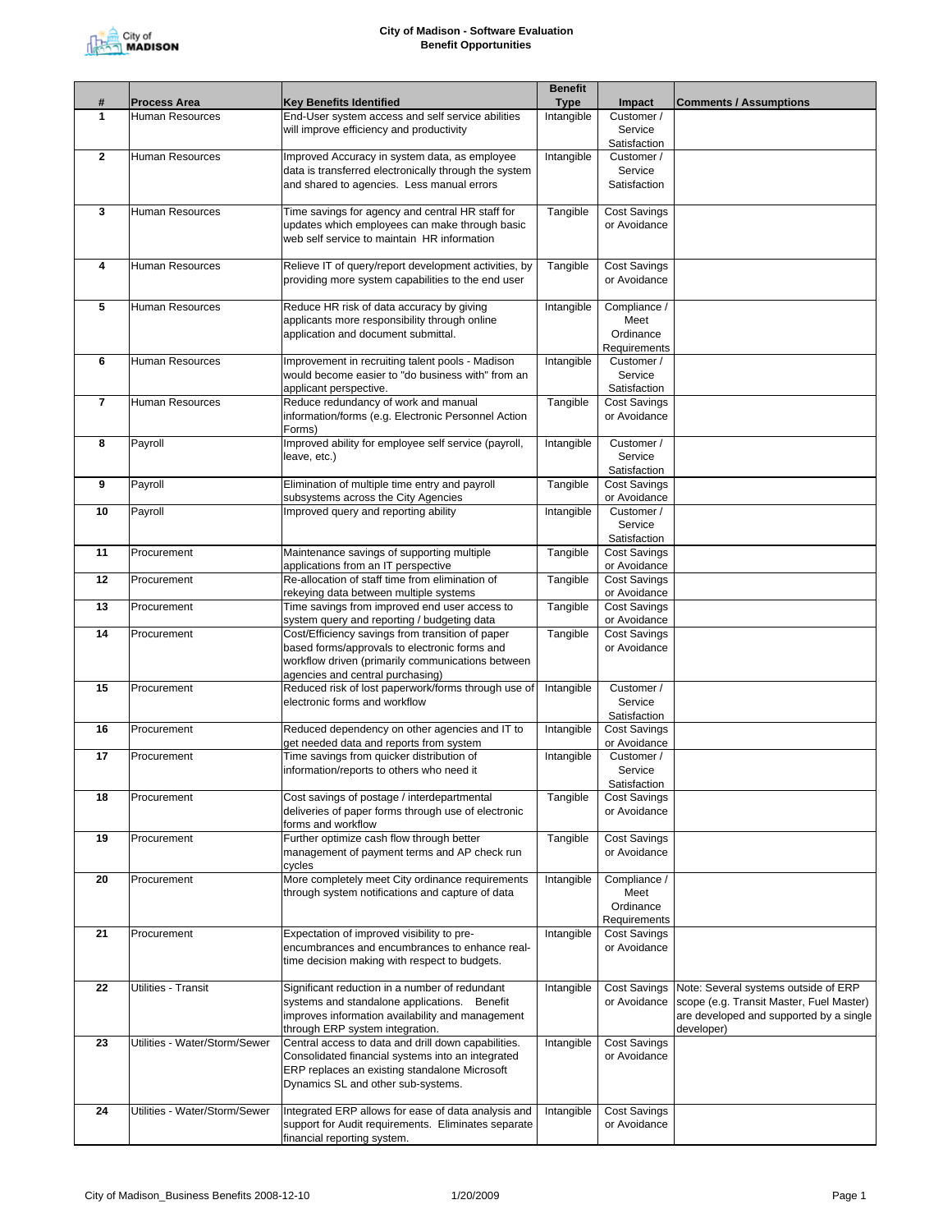

|                   |                               |                                                                                                    | <b>Benefit</b> |                                     |                                          |
|-------------------|-------------------------------|----------------------------------------------------------------------------------------------------|----------------|-------------------------------------|------------------------------------------|
| #<br>$\mathbf{1}$ | <b>Process Area</b>           | <b>Key Benefits Identified</b><br>End-User system access and self service abilities                | <b>Type</b>    | Impact                              | <b>Comments / Assumptions</b>            |
|                   | Human Resources               | will improve efficiency and productivity                                                           | Intangible     | Customer /<br>Service               |                                          |
|                   |                               |                                                                                                    |                | Satisfaction                        |                                          |
| $\mathbf{2}$      | <b>Human Resources</b>        | Improved Accuracy in system data, as employee                                                      | Intangible     | Customer /                          |                                          |
|                   |                               | data is transferred electronically through the system                                              |                | Service                             |                                          |
|                   |                               | and shared to agencies. Less manual errors                                                         |                | Satisfaction                        |                                          |
|                   |                               |                                                                                                    |                |                                     |                                          |
| 3                 | <b>Human Resources</b>        | Time savings for agency and central HR staff for<br>updates which employees can make through basic | Tangible       | <b>Cost Savings</b><br>or Avoidance |                                          |
|                   |                               | web self service to maintain HR information                                                        |                |                                     |                                          |
|                   |                               |                                                                                                    |                |                                     |                                          |
| 4                 | Human Resources               | Relieve IT of query/report development activities, by                                              | Tangible       | <b>Cost Savings</b>                 |                                          |
|                   |                               | providing more system capabilities to the end user                                                 |                | or Avoidance                        |                                          |
| 5                 | Human Resources               | Reduce HR risk of data accuracy by giving                                                          |                | Compliance /                        |                                          |
|                   |                               | applicants more responsibility through online                                                      | Intangible     | Meet                                |                                          |
|                   |                               | application and document submittal.                                                                |                | Ordinance                           |                                          |
|                   |                               |                                                                                                    |                | Requirements                        |                                          |
| 6                 | Human Resources               | Improvement in recruiting talent pools - Madison                                                   | Intangible     | Customer /                          |                                          |
|                   |                               | would become easier to "do business with" from an                                                  |                | Service                             |                                          |
| 7                 | Human Resources               | applicant perspective.<br>Reduce redundancy of work and manual                                     | Tangible       | Satisfaction<br><b>Cost Savings</b> |                                          |
|                   |                               | information/forms (e.g. Electronic Personnel Action                                                |                | or Avoidance                        |                                          |
|                   |                               | Forms)                                                                                             |                |                                     |                                          |
| 8                 | Payroll                       | Improved ability for employee self service (payroll,                                               | Intangible     | Customer /                          |                                          |
|                   |                               | leave, etc.)                                                                                       |                | Service                             |                                          |
| 9                 | Payroll                       | Elimination of multiple time entry and payroll                                                     | Tangible       | Satisfaction<br><b>Cost Savings</b> |                                          |
|                   |                               | subsystems across the City Agencies                                                                |                | or Avoidance                        |                                          |
| 10                | Payroll                       | Improved query and reporting ability                                                               | Intangible     | Customer /                          |                                          |
|                   |                               |                                                                                                    |                | Service                             |                                          |
|                   |                               |                                                                                                    |                | Satisfaction                        |                                          |
| 11                | Procurement                   | Maintenance savings of supporting multiple                                                         | Tangible       | <b>Cost Savings</b>                 |                                          |
| 12                | Procurement                   | applications from an IT perspective<br>Re-allocation of staff time from elimination of             | Tangible       | or Avoidance<br><b>Cost Savings</b> |                                          |
|                   |                               | rekeying data between multiple systems                                                             |                | or Avoidance                        |                                          |
| 13                | Procurement                   | Time savings from improved end user access to                                                      | Tangible       | <b>Cost Savings</b>                 |                                          |
|                   |                               | system query and reporting / budgeting data                                                        |                | or Avoidance                        |                                          |
| 14                | Procurement                   | Cost/Efficiency savings from transition of paper                                                   | Tangible       | <b>Cost Savings</b>                 |                                          |
|                   |                               | based forms/approvals to electronic forms and<br>workflow driven (primarily communications between |                | or Avoidance                        |                                          |
|                   |                               | agencies and central purchasing)                                                                   |                |                                     |                                          |
| 15                | Procurement                   | Reduced risk of lost paperwork/forms through use of                                                | Intangible     | Customer /                          |                                          |
|                   |                               | electronic forms and workflow                                                                      |                | Service                             |                                          |
|                   |                               |                                                                                                    |                | Satisfaction                        |                                          |
| 16                | Procurement                   | Reduced dependency on other agencies and IT to<br>get needed data and reports from system          | Intangible     | <b>Cost Savings</b><br>or Avoidance |                                          |
| 17                | Procurement                   | Time savings from quicker distribution of                                                          | Intangible     | Customer /                          |                                          |
|                   |                               | information/reports to others who need it                                                          |                | Service                             |                                          |
|                   |                               |                                                                                                    |                | Satisfaction                        |                                          |
| 18                | Procurement                   | Cost savings of postage / interdepartmental                                                        | Tangible       | <b>Cost Savings</b>                 |                                          |
|                   |                               | deliveries of paper forms through use of electronic<br>forms and workflow                          |                | or Avoidance                        |                                          |
| 19                | Procurement                   | Further optimize cash flow through better                                                          | Tangible       | <b>Cost Savings</b>                 |                                          |
|                   |                               | management of payment terms and AP check run                                                       |                | or Avoidance                        |                                          |
|                   |                               | cycles                                                                                             |                |                                     |                                          |
| 20                | Procurement                   | More completely meet City ordinance requirements                                                   | Intangible     | Compliance /                        |                                          |
|                   |                               | through system notifications and capture of data                                                   |                | Meet<br>Ordinance                   |                                          |
|                   |                               |                                                                                                    |                | Requirements                        |                                          |
| 21                | Procurement                   | Expectation of improved visibility to pre-                                                         | Intangible     | <b>Cost Savings</b>                 |                                          |
|                   |                               | encumbrances and encumbrances to enhance real-                                                     |                | or Avoidance                        |                                          |
|                   |                               | time decision making with respect to budgets.                                                      |                |                                     |                                          |
| 22                | Utilities - Transit           | Significant reduction in a number of redundant                                                     | Intangible     | Cost Savings                        | Note: Several systems outside of ERP     |
|                   |                               | systems and standalone applications. Benefit                                                       |                | or Avoidance                        | scope (e.g. Transit Master, Fuel Master) |
|                   |                               | improves information availability and management                                                   |                |                                     | are developed and supported by a single  |
|                   |                               | through ERP system integration.                                                                    |                |                                     | developer)                               |
| 23                | Utilities - Water/Storm/Sewer | Central access to data and drill down capabilities.                                                | Intangible     | Cost Savings                        |                                          |
|                   |                               | Consolidated financial systems into an integrated<br>ERP replaces an existing standalone Microsoft |                | or Avoidance                        |                                          |
|                   |                               | Dynamics SL and other sub-systems.                                                                 |                |                                     |                                          |
|                   |                               |                                                                                                    |                |                                     |                                          |
| 24                | Utilities - Water/Storm/Sewer | Integrated ERP allows for ease of data analysis and                                                | Intangible     | <b>Cost Savings</b>                 |                                          |
|                   |                               | support for Audit requirements. Eliminates separate                                                |                | or Avoidance                        |                                          |
|                   |                               | financial reporting system.                                                                        |                |                                     |                                          |